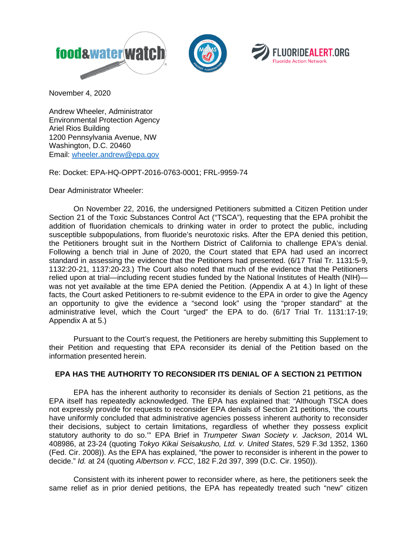





November 4, 2020

Andrew Wheeler, Administrator Environmental Protection Agency Ariel Rios Building 1200 Pennsylvania Avenue, NW Washington, D.C. 20460 Email: [wheeler.andrew@epa.gov](mailto:wheeler.andrew@epa.gov)

Re: Docket: EPA-HQ-OPPT-2016-0763-0001; FRL-9959-74

Dear Administrator Wheeler:

On November 22, 2016, the undersigned Petitioners submitted a Citizen Petition under Section 21 of the Toxic Substances Control Act ("TSCA"), requesting that the EPA prohibit the addition of fluoridation chemicals to drinking water in order to protect the public, including susceptible subpopulations, from fluoride's neurotoxic risks. After the EPA denied this petition, the Petitioners brought suit in the Northern District of California to challenge EPA's denial. Following a bench trial in June of 2020, the Court stated that EPA had used an incorrect standard in assessing the evidence that the Petitioners had presented. (6/17 Trial Tr. 1131:5-9, 1132:20-21, 1137:20-23.) The Court also noted that much of the evidence that the Petitioners relied upon at trial—including recent studies funded by the National Institutes of Health (NIH) was not yet available at the time EPA denied the Petition. (Appendix A at 4.) In light of these facts, the Court asked Petitioners to re-submit evidence to the EPA in order to give the Agency an opportunity to give the evidence a "second look" using the "proper standard" at the administrative level, which the Court "urged" the EPA to do. (6/17 Trial Tr. 1131:17-19; Appendix A at 5.)

Pursuant to the Court's request, the Petitioners are hereby submitting this Supplement to their Petition and requesting that EPA reconsider its denial of the Petition based on the information presented herein.

# **EPA HAS THE AUTHORITY TO RECONSIDER ITS DENIAL OF A SECTION 21 PETITION**

EPA has the inherent authority to reconsider its denials of Section 21 petitions, as the EPA itself has repeatedly acknowledged. The EPA has explained that: "Although TSCA does not expressly provide for requests to reconsider EPA denials of Section 21 petitions, 'the courts have uniformly concluded that administrative agencies possess inherent authority to reconsider their decisions, subject to certain limitations, regardless of whether they possess explicit statutory authority to do so.'" EPA Brief in *Trumpeter Swan Society v. Jackson*, 2014 WL 408986, at 23-24 (quoting *Tokyo Kikai Seisakusho, Ltd. v. United States*, 529 F.3d 1352, 1360 (Fed. Cir. 2008)). As the EPA has explained, "the power to reconsider is inherent in the power to decide." *Id.* at 24 (quoting *Albertson v. FCC*, 182 F.2d 397, 399 (D.C. Cir. 1950)).

Consistent with its inherent power to reconsider where, as here, the petitioners seek the same relief as in prior denied petitions, the EPA has repeatedly treated such "new" citizen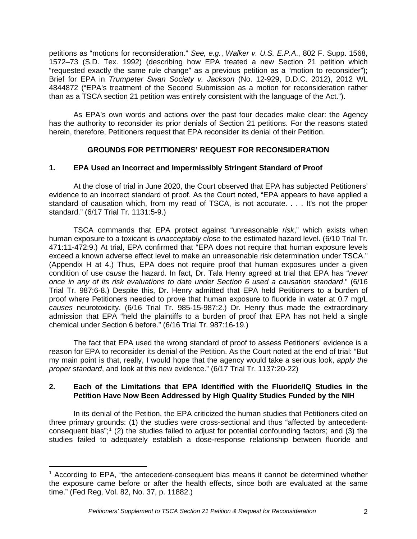petitions as "motions for reconsideration." *See, e.g.*, *Walker v. U.S. E.P.A*., 802 F. Supp. 1568, 1572–73 (S.D. Tex. 1992) (describing how EPA treated a new Section 21 petition which "requested exactly the same rule change" as a previous petition as a "motion to reconsider"); Brief for EPA in *Trumpeter Swan Society v. Jackson* (No. 12-929, D.D.C. 2012), 2012 WL 4844872 ("EPA's treatment of the Second Submission as a motion for reconsideration rather than as a TSCA section 21 petition was entirely consistent with the language of the Act.").

As EPA's own words and actions over the past four decades make clear: the Agency has the authority to reconsider its prior denials of Section 21 petitions. For the reasons stated herein, therefore, Petitioners request that EPA reconsider its denial of their Petition.

# **GROUNDS FOR PETITIONERS' REQUEST FOR RECONSIDERATION**

# **1. EPA Used an Incorrect and Impermissibly Stringent Standard of Proof**

At the close of trial in June 2020, the Court observed that EPA has subjected Petitioners' evidence to an incorrect standard of proof. As the Court noted, "EPA appears to have applied a standard of causation which, from my read of TSCA, is not accurate. . . . It's not the proper standard." (6/17 Trial Tr. 1131:5-9.)

TSCA commands that EPA protect against "unreasonable *risk*," which exists when human exposure to a toxicant is *unacceptably close* to the estimated hazard level. (6/10 Trial Tr. 471:11-472:9.) At trial, EPA confirmed that "EPA does not require that human exposure levels exceed a known adverse effect level to make an unreasonable risk determination under TSCA." (Appendix H at 4.) Thus, EPA does not require proof that human exposures under a given condition of use *cause* the hazard. In fact, Dr. Tala Henry agreed at trial that EPA has "*never once in any of its risk evaluations to date under Section 6 used a causation standard*." (6/16 Trial Tr. 987:6-8.) Despite this, Dr. Henry admitted that EPA held Petitioners to a burden of proof where Petitioners needed to prove that human exposure to fluoride in water at 0.7 mg/L *causes* neurotoxicity. (6/16 Trial Tr. 985-15-987:2.) Dr. Henry thus made the extraordinary admission that EPA "held the plaintiffs to a burden of proof that EPA has not held a single chemical under Section 6 before." (6/16 Trial Tr. 987:16-19.)

The fact that EPA used the wrong standard of proof to assess Petitioners' evidence is a reason for EPA to reconsider its denial of the Petition. As the Court noted at the end of trial: "But my main point is that, really, I would hope that the agency would take a serious look, *apply the proper standard*, and look at this new evidence." (6/17 Trial Tr. 1137:20-22)

# **2. Each of the Limitations that EPA Identified with the Fluoride/IQ Studies in the Petition Have Now Been Addressed by High Quality Studies Funded by the NIH**

In its denial of the Petition, the EPA criticized the human studies that Petitioners cited on three primary grounds: (1) the studies were cross-sectional and thus "affected by antecedent-consequent bias";<sup>[1](#page-1-0)</sup> (2) the studies failed to adjust for potential confounding factors; and (3) the studies failed to adequately establish a dose-response relationship between fluoride and

<span id="page-1-0"></span><sup>&</sup>lt;sup>1</sup> According to EPA, "the antecedent-consequent bias means it cannot be determined whether the exposure came before or after the health effects, since both are evaluated at the same time." (Fed Reg, Vol. 82, No. 37, p. 11882.)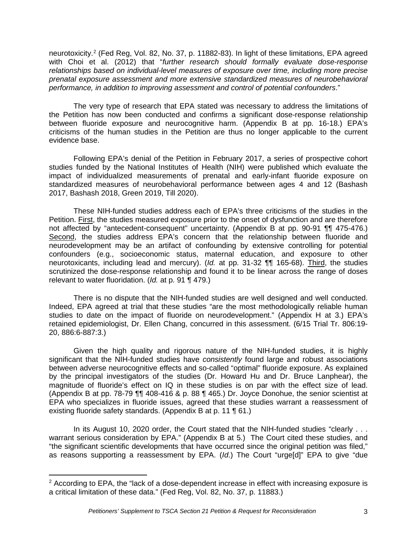neurotoxicity.[2](#page-2-0) (Fed Reg, Vol. 82, No. 37, p. 11882-83). In light of these limitations, EPA agreed with Choi et al. (2012) that "*further research should formally evaluate dose-response relationships based on individual-level measures of exposure over time, including more precise prenatal exposure assessment and more extensive standardized measures of neurobehavioral performance, in addition to improving assessment and control of potential confounders*."

The very type of research that EPA stated was necessary to address the limitations of the Petition has now been conducted and confirms a significant dose-response relationship between fluoride exposure and neurocognitive harm. (Appendix B at pp. 16-18.) EPA's criticisms of the human studies in the Petition are thus no longer applicable to the current evidence base.

Following EPA's denial of the Petition in February 2017, a series of prospective cohort studies funded by the National Institutes of Health (NIH) were published which evaluate the impact of individualized measurements of prenatal and early-infant fluoride exposure on standardized measures of neurobehavioral performance between ages 4 and 12 (Bashash 2017, Bashash 2018, Green 2019, Till 2020).

These NIH-funded studies address each of EPA's three criticisms of the studies in the Petition. First, the studies measured exposure prior to the onset of dysfunction and are therefore not affected by "antecedent-consequent" uncertainty. (Appendix B at pp. 90-91 ¶¶ 475-476.) Second, the studies address EPA's concern that the relationship between fluoride and neurodevelopment may be an artifact of confounding by extensive controlling for potential confounders (e.g., socioeconomic status, maternal education, and exposure to other neurotoxicants, including lead and mercury). (*Id.* at pp. 31-32 ¶¶ 165-68). Third, the studies scrutinized the dose-response relationship and found it to be linear across the range of doses relevant to water fluoridation. (*Id.* at p. 91 ¶ 479.)

There is no dispute that the NIH-funded studies are well designed and well conducted. Indeed, EPA agreed at trial that these studies "are the most methodologically reliable human studies to date on the impact of fluoride on neurodevelopment." (Appendix H at 3.) EPA's retained epidemiologist, Dr. Ellen Chang, concurred in this assessment. (6/15 Trial Tr. 806:19- 20, 886:6-887:3.)

Given the high quality and rigorous nature of the NIH-funded studies, it is highly significant that the NIH-funded studies have *consistently* found large and robust associations between adverse neurocognitive effects and so-called "optimal" fluoride exposure. As explained by the principal investigators of the studies (Dr. Howard Hu and Dr. Bruce Lanphear), the magnitude of fluoride's effect on IQ in these studies is on par with the effect size of lead. (Appendix B at pp. 78-79 ¶¶ 408-416 & p. 88 ¶ 465.) Dr. Joyce Donohue, the senior scientist at EPA who specializes in fluoride issues, agreed that these studies warrant a reassessment of existing fluoride safety standards. (Appendix B at p. 11 ¶ 61.)

In its August 10, 2020 order, the Court stated that the NIH-funded studies "clearly . . . warrant serious consideration by EPA." (Appendix B at 5.) The Court cited these studies, and "the significant scientific developments that have occurred since the original petition was filed," as reasons supporting a reassessment by EPA. (*Id*.) The Court "urge[d]" EPA to give "due

<span id="page-2-0"></span> $2$  According to EPA, the "lack of a dose-dependent increase in effect with increasing exposure is a critical limitation of these data." (Fed Reg, Vol. 82, No. 37, p. 11883.)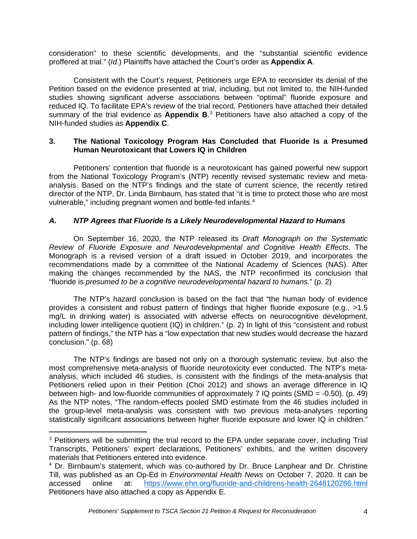consideration" to these scientific developments, and the "substantial scientific evidence proffered at trial." (*Id*.) Plaintiffs have attached the Court's order as **Appendix A**.

Consistent with the Court's request, Petitioners urge EPA to reconsider its denial of the Petition based on the evidence presented at trial, including, but not limited to, the NIH-funded studies showing significant adverse associations between "optimal" fluoride exposure and reduced IQ. To facilitate EPA's review of the trial record, Petitioners have attached their detailed summary of the trial evidence as **Appendix B**. [3](#page-3-0) Petitioners have also attached a copy of the NIH-funded studies as **Appendix C**.

#### **3. The National Toxicology Program Has Concluded that Fluoride Is a Presumed Human Neurotoxicant that Lowers IQ in Children**

Petitioners' contention that fluoride is a neurotoxicant has gained powerful new support from the National Toxicology Program's (NTP) recently revised systematic review and metaanalysis. Based on the NTP's findings and the state of current science, the recently retired director of the NTP, Dr. Linda Birnbaum, has stated that "it is time to protect those who are most vulnerable," including pregnant women and bottle-fed infants.<sup>[4](#page-3-1)</sup>

# *A. NTP Agrees that Fluoride Is a Likely Neurodevelopmental Hazard to Humans*

On September 16, 2020, the NTP released its *Draft Monograph on the Systematic Review of Fluoride Exposure and Neurodevelopmental and Cognitive Health Effects*. The Monograph is a revised version of a draft issued in October 2019, and incorporates the recommendations made by a committee of the National Academy of Sciences (NAS). After making the changes recommended by the NAS, the NTP reconfirmed its conclusion that "fluoride is *presumed to be a cognitive neurodevelopmental hazard to humans.*" (p. 2)

The NTP's hazard conclusion is based on the fact that "the human body of evidence provides a consistent and robust pattern of findings that higher fluoride exposure (e.g., >1.5 mg/L in drinking water) is associated with adverse effects on neurocognitive development, including lower intelligence quotient (IQ) in children." (p. 2) In light of this "consistent and robust pattern of findings," the NTP has a "low expectation that new studies would decrease the hazard conclusion." (p. 68)

The NTP's findings are based not only on a thorough systematic review, but also the most comprehensive meta-analysis of fluoride neurotoxicity ever conducted. The NTP's metaanalysis, which included 46 studies, is consistent with the findings of the meta-analysis that Petitioners relied upon in their Petition (Choi 2012) and shows an average difference in IQ between high- and low-fluoride communities of approximately 7 IQ points (SMD = -0.50). (p. 49) As the NTP notes, "The random-effects pooled SMD estimate from the 46 studies included in the group-level meta-analysis was consistent with two previous meta-analyses reporting statistically significant associations between higher fluoride exposure and lower IQ in children."

<span id="page-3-0"></span><sup>&</sup>lt;sup>3</sup> Petitioners will be submitting the trial record to the EPA under separate cover, including Trial Transcripts, Petitioners' expert declarations, Petitioners' exhibits, and the written discovery materials that Petitioners entered into evidence.

<span id="page-3-1"></span><sup>4</sup> Dr. Birnbaum's statement, which was co-authored by Dr. Bruce Lanphear and Dr. Christine Till, was published as an Op-Ed in *Environmental Health News* on October 7, 2020. It can be accessed online at: <https://www.ehn.org/fluoride-and-childrens-health-2648120286.html> Petitioners have also attached a copy as Appendix E.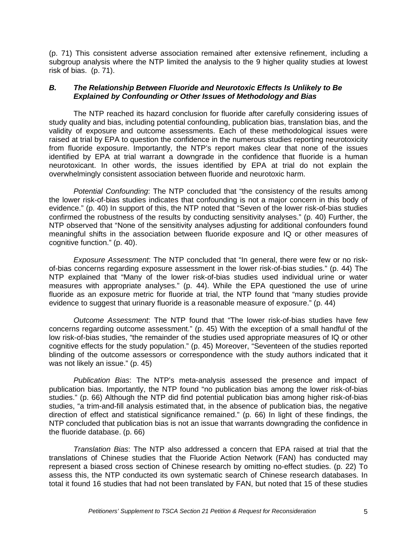(p. 71) This consistent adverse association remained after extensive refinement, including a subgroup analysis where the NTP limited the analysis to the 9 higher quality studies at lowest risk of bias. (p. 71).

#### *B. The Relationship Between Fluoride and Neurotoxic Effects Is Unlikely to Be Explained by Confounding or Other Issues of Methodology and Bias*

The NTP reached its hazard conclusion for fluoride after carefully considering issues of study quality and bias, including potential confounding, publication bias, translation bias, and the validity of exposure and outcome assessments. Each of these methodological issues were raised at trial by EPA to question the confidence in the numerous studies reporting neurotoxicity from fluoride exposure. Importantly, the NTP's report makes clear that none of the issues identified by EPA at trial warrant a downgrade in the confidence that fluoride is a human neurotoxicant. In other words, the issues identified by EPA at trial do not explain the overwhelmingly consistent association between fluoride and neurotoxic harm.

*Potential Confounding*: The NTP concluded that "the consistency of the results among the lower risk-of-bias studies indicates that confounding is not a major concern in this body of evidence." (p. 40) In support of this, the NTP noted that "Seven of the lower risk-of-bias studies confirmed the robustness of the results by conducting sensitivity analyses." (p. 40) Further, the NTP observed that "None of the sensitivity analyses adjusting for additional confounders found meaningful shifts in the association between fluoride exposure and IQ or other measures of cognitive function." (p. 40).

*Exposure Assessment*: The NTP concluded that "In general, there were few or no riskof-bias concerns regarding exposure assessment in the lower risk-of-bias studies." (p. 44) The NTP explained that "Many of the lower risk-of-bias studies used individual urine or water measures with appropriate analyses." (p. 44). While the EPA questioned the use of urine fluoride as an exposure metric for fluoride at trial, the NTP found that "many studies provide evidence to suggest that urinary fluoride is a reasonable measure of exposure." (p. 44)

*Outcome Assessment*: The NTP found that "The lower risk-of-bias studies have few concerns regarding outcome assessment." (p. 45) With the exception of a small handful of the low risk-of-bias studies, "the remainder of the studies used appropriate measures of IQ or other cognitive effects for the study population." (p. 45) Moreover, "Seventeen of the studies reported blinding of the outcome assessors or correspondence with the study authors indicated that it was not likely an issue." (p. 45)

*Publication Bias*: The NTP's meta-analysis assessed the presence and impact of publication bias. Importantly, the NTP found "no publication bias among the lower risk-of-bias studies." (p. 66) Although the NTP did find potential publication bias among higher risk-of-bias studies, "a trim-and-fill analysis estimated that, in the absence of publication bias, the negative direction of effect and statistical significance remained." (p. 66) In light of these findings, the NTP concluded that publication bias is not an issue that warrants downgrading the confidence in the fluoride database. (p. 66)

*Translation Bias*: The NTP also addressed a concern that EPA raised at trial that the translations of Chinese studies that the Fluoride Action Network (FAN) has conducted may represent a biased cross section of Chinese research by omitting no-effect studies. (p. 22) To assess this, the NTP conducted its own systematic search of Chinese research databases. In total it found 16 studies that had not been translated by FAN, but noted that 15 of these studies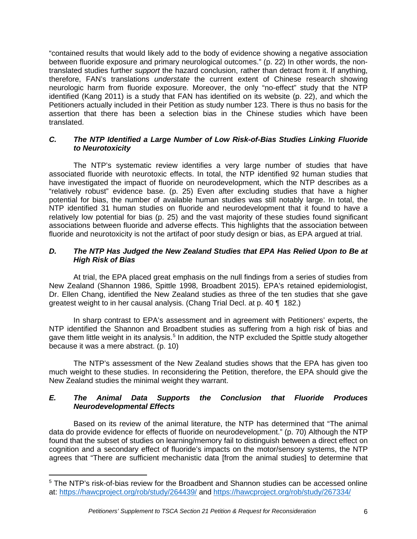"contained results that would likely add to the body of evidence showing a negative association between fluoride exposure and primary neurological outcomes." (p. 22) In other words, the nontranslated studies further *support* the hazard conclusion, rather than detract from it. If anything, therefore, FAN's translations *understate* the current extent of Chinese research showing neurologic harm from fluoride exposure. Moreover, the only "no-effect" study that the NTP identified (Kang 2011) is a study that FAN has identified on its website (p. 22), and which the Petitioners actually included in their Petition as study number 123. There is thus no basis for the assertion that there has been a selection bias in the Chinese studies which have been translated.

### *C. The NTP Identified a Large Number of Low Risk-of-Bias Studies Linking Fluoride to Neurotoxicity*

The NTP's systematic review identifies a very large number of studies that have associated fluoride with neurotoxic effects. In total, the NTP identified 92 human studies that have investigated the impact of fluoride on neurodevelopment, which the NTP describes as a "relatively robust" evidence base. (p. 25) Even after excluding studies that have a higher potential for bias, the number of available human studies was still notably large. In total, the NTP identified 31 human studies on fluoride and neurodevelopment that it found to have a relatively low potential for bias (p. 25) and the vast majority of these studies found significant associations between fluoride and adverse effects. This highlights that the association between fluoride and neurotoxicity is not the artifact of poor study design or bias, as EPA argued at trial.

### *D. The NTP Has Judged the New Zealand Studies that EPA Has Relied Upon to Be at High Risk of Bias*

At trial, the EPA placed great emphasis on the null findings from a series of studies from New Zealand (Shannon 1986, Spittle 1998, Broadbent 2015). EPA's retained epidemiologist, Dr. Ellen Chang, identified the New Zealand studies as three of the ten studies that she gave greatest weight to in her causal analysis. (Chang Trial Decl. at p. 40 ¶ 182.)

In sharp contrast to EPA's assessment and in agreement with Petitioners' experts, the NTP identified the Shannon and Broadbent studies as suffering from a high risk of bias and gave them little weight in its analysis.<sup>[5](#page-5-0)</sup> In addition, the NTP excluded the Spittle study altogether because it was a mere abstract. (p. 10)

The NTP's assessment of the New Zealand studies shows that the EPA has given too much weight to these studies. In reconsidering the Petition, therefore, the EPA should give the New Zealand studies the minimal weight they warrant.

# *E. The Animal Data Supports the Conclusion that Fluoride Produces Neurodevelopmental Effects*

Based on its review of the animal literature, the NTP has determined that "The animal data do provide evidence for effects of fluoride on neurodevelopment." (p. 70) Although the NTP found that the subset of studies on learning/memory fail to distinguish between a direct effect on cognition and a secondary effect of fluoride's impacts on the motor/sensory systems, the NTP agrees that "There are sufficient mechanistic data [from the animal studies] to determine that

<span id="page-5-0"></span><sup>5</sup> The NTP's risk-of-bias review for the Broadbent and Shannon studies can be accessed online at:<https://hawcproject.org/rob/study/264439/> and<https://hawcproject.org/rob/study/267334/>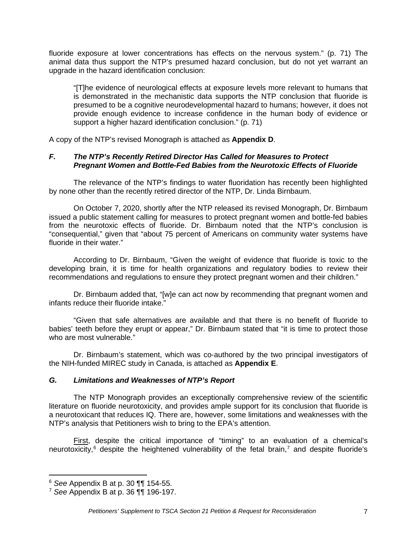fluoride exposure at lower concentrations has effects on the nervous system." (p. 71) The animal data thus support the NTP's presumed hazard conclusion, but do not yet warrant an upgrade in the hazard identification conclusion:

"[T]he evidence of neurological effects at exposure levels more relevant to humans that is demonstrated in the mechanistic data supports the NTP conclusion that fluoride is presumed to be a cognitive neurodevelopmental hazard to humans; however, it does not provide enough evidence to increase confidence in the human body of evidence or support a higher hazard identification conclusion." (p. 71)

A copy of the NTP's revised Monograph is attached as **Appendix D**.

# *F. The NTP's Recently Retired Director Has Called for Measures to Protect Pregnant Women and Bottle-Fed Babies from the Neurotoxic Effects of Fluoride*

The relevance of the NTP's findings to water fluoridation has recently been highlighted by none other than the recently retired director of the NTP, Dr. Linda Birnbaum.

On October 7, 2020, shortly after the NTP released its revised Monograph, Dr. Birnbaum issued a public statement calling for measures to protect pregnant women and bottle-fed babies from the neurotoxic effects of fluoride. Dr. Birnbaum noted that the NTP's conclusion is "consequential," given that "about 75 percent of Americans on community water systems have fluoride in their water."

According to Dr. Birnbaum, "Given the weight of evidence that fluoride is toxic to the developing brain, it is time for health organizations and regulatory bodies to review their recommendations and regulations to ensure they protect pregnant women and their children."

Dr. Birnbaum added that, "[w]e can act now by recommending that pregnant women and infants reduce their fluoride intake."

"Given that safe alternatives are available and that there is no benefit of fluoride to babies' teeth before they erupt or appear," Dr. Birnbaum stated that "it is time to protect those who are most vulnerable."

Dr. Birnbaum's statement, which was co-authored by the two principal investigators of the NIH-funded MIREC study in Canada, is attached as **Appendix E**.

# *G. Limitations and Weaknesses of NTP's Report*

The NTP Monograph provides an exceptionally comprehensive review of the scientific literature on fluoride neurotoxicity, and provides ample support for its conclusion that fluoride is a neurotoxicant that reduces IQ. There are, however, some limitations and weaknesses with the NTP's analysis that Petitioners wish to bring to the EPA's attention.

First, despite the critical importance of "timing" to an evaluation of a chemical's neurotoxicity,<sup>[6](#page-6-0)</sup> despite the heightened vulnerability of the fetal brain,<sup>[7](#page-6-1)</sup> and despite fluoride's

<span id="page-6-0"></span><sup>6</sup> *See* Appendix B at p. 30 ¶¶ 154-55.

<span id="page-6-1"></span><sup>7</sup> *See* Appendix B at p. 36 ¶¶ 196-197.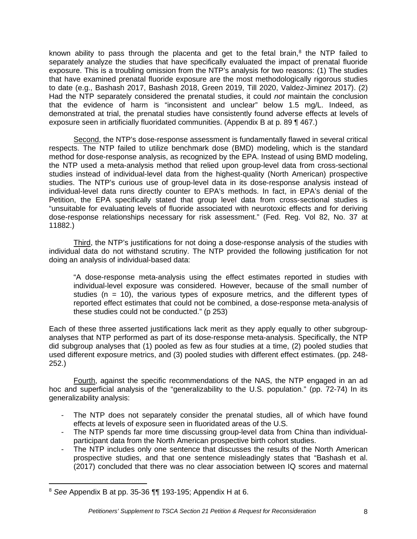known ability to pass through the placenta and get to the fetal brain, $8$  the NTP failed to separately analyze the studies that have specifically evaluated the impact of prenatal fluoride exposure. This is a troubling omission from the NTP's analysis for two reasons: (1) The studies that have examined prenatal fluoride exposure are the most methodologically rigorous studies to date (e.g., Bashash 2017, Bashash 2018, Green 2019, Till 2020, Valdez-Jiminez 2017). (2) Had the NTP separately considered the prenatal studies, it could *not* maintain the conclusion that the evidence of harm is "inconsistent and unclear" below 1.5 mg/L. Indeed, as demonstrated at trial, the prenatal studies have consistently found adverse effects at levels of exposure seen in artificially fluoridated communities. (Appendix B at p. 89 ¶ 467.)

Second, the NTP's dose-response assessment is fundamentally flawed in several critical respects. The NTP failed to utilize benchmark dose (BMD) modeling, which is the standard method for dose-response analysis, as recognized by the EPA. Instead of using BMD modeling, the NTP used a meta-analysis method that relied upon group-level data from cross-sectional studies instead of individual-level data from the highest-quality (North American) prospective studies. The NTP's curious use of group-level data in its dose-response analysis instead of individual-level data runs directly counter to EPA's methods. In fact, in EPA's denial of the Petition, the EPA specifically stated that group level data from cross-sectional studies is "unsuitable for evaluating levels of fluoride associated with neurotoxic effects and for deriving dose-response relationships necessary for risk assessment." (Fed. Reg. Vol 82, No. 37 at 11882.)

Third, the NTP's justifications for not doing a dose-response analysis of the studies with individual data do not withstand scrutiny. The NTP provided the following justification for not doing an analysis of individual-based data:

"A dose-response meta-analysis using the effect estimates reported in studies with individual-level exposure was considered. However, because of the small number of studies ( $n = 10$ ), the various types of exposure metrics, and the different types of reported effect estimates that could not be combined, a dose-response meta-analysis of these studies could not be conducted." (p 253)

Each of these three asserted justifications lack merit as they apply equally to other subgroupanalyses that NTP performed as part of its dose-response meta-analysis. Specifically, the NTP did subgroup analyses that (1) pooled as few as four studies at a time, (2) pooled studies that used different exposure metrics, and (3) pooled studies with different effect estimates. (pp. 248- 252.)

Fourth, against the specific recommendations of the NAS, the NTP engaged in an ad hoc and superficial analysis of the "generalizability to the U.S. population." (pp. 72-74) In its generalizability analysis:

- The NTP does not separately consider the prenatal studies, all of which have found effects at levels of exposure seen in fluoridated areas of the U.S.
- The NTP spends far more time discussing group-level data from China than individualparticipant data from the North American prospective birth cohort studies.
- The NTP includes only one sentence that discusses the results of the North American prospective studies, and that one sentence misleadingly states that "Bashash et al. (2017) concluded that there was no clear association between IQ scores and maternal

<span id="page-7-0"></span><sup>8</sup> *See* Appendix B at pp. 35-36 ¶¶ 193-195; Appendix H at 6.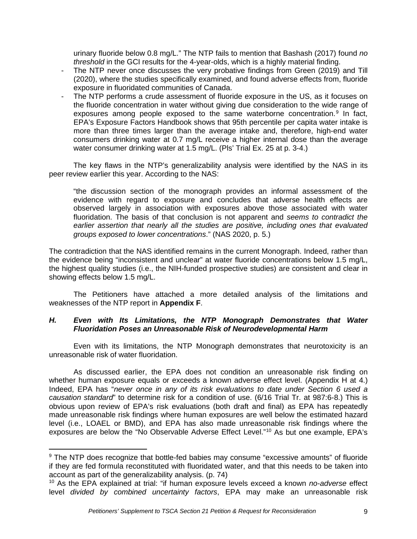urinary fluoride below 0.8 mg/L." The NTP fails to mention that Bashash (2017) found *no threshold* in the GCI results for the 4-year-olds, which is a highly material finding.

- The NTP never once discusses the very probative findings from Green (2019) and Till (2020), where the studies specifically examined, and found adverse effects from, fluoride exposure in fluoridated communities of Canada.
- The NTP performs a crude assessment of fluoride exposure in the US, as it focuses on the fluoride concentration in water without giving due consideration to the wide range of exposures among people exposed to the same waterborne concentration.<sup>[9](#page-8-0)</sup> In fact, EPA's Exposure Factors Handbook shows that 95th percentile per capita water intake is more than three times larger than the average intake and, therefore, high-end water consumers drinking water at 0.7 mg/L receive a higher internal dose than the average water consumer drinking water at 1.5 mg/L. (Pls' Trial Ex. 25 at p. 3-4.)

The key flaws in the NTP's generalizability analysis were identified by the NAS in its peer review earlier this year. According to the NAS:

"the discussion section of the monograph provides an informal assessment of the evidence with regard to exposure and concludes that adverse health effects are observed largely in association with exposures above those associated with water fluoridation. The basis of that conclusion is not apparent and *seems to contradict the earlier assertion that nearly all the studies are positive, including ones that evaluated groups exposed to lower concentrations*." (NAS 2020, p. 5.)

The contradiction that the NAS identified remains in the current Monograph. Indeed, rather than the evidence being "inconsistent and unclear" at water fluoride concentrations below 1.5 mg/L, the highest quality studies (i.e., the NIH-funded prospective studies) are consistent and clear in showing effects below 1.5 mg/L.

The Petitioners have attached a more detailed analysis of the limitations and weaknesses of the NTP report in **Appendix F**.

#### *H. Even with Its Limitations, the NTP Monograph Demonstrates that Water Fluoridation Poses an Unreasonable Risk of Neurodevelopmental Harm*

Even with its limitations, the NTP Monograph demonstrates that neurotoxicity is an unreasonable risk of water fluoridation.

As discussed earlier, the EPA does not condition an unreasonable risk finding on whether human exposure equals or exceeds a known adverse effect level. (Appendix H at 4.) Indeed, EPA has "*never once in any of its risk evaluations to date under Section 6 used a causation standard*" to determine risk for a condition of use. (6/16 Trial Tr. at 987:6-8.) This is obvious upon review of EPA's risk evaluations (both draft and final) as EPA has repeatedly made unreasonable risk findings where human exposures are well below the estimated hazard level (i.e., LOAEL or BMD), and EPA has also made unreasonable risk findings where the exposures are below the "No Observable Adverse Effect Level."[10](#page-8-1) As but one example, EPA's

<span id="page-8-0"></span><sup>&</sup>lt;sup>9</sup> The NTP does recognize that bottle-fed babies may consume "excessive amounts" of fluoride if they are fed formula reconstituted with fluoridated water, and that this needs to be taken into account as part of the generalizability analysis. (p. 74)

<span id="page-8-1"></span><sup>10</sup> As the EPA explained at trial: "if human exposure levels exceed a known *no-adverse* effect level *divided by combined uncertainty factors*, EPA may make an unreasonable risk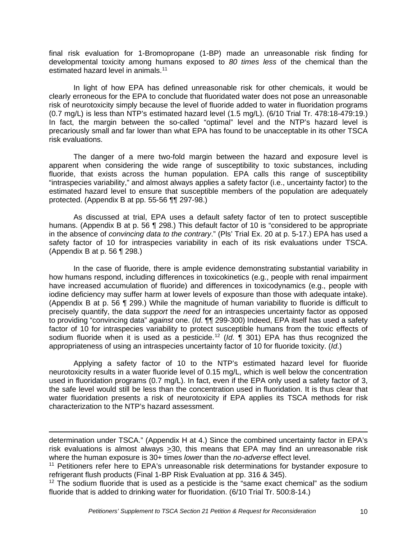final risk evaluation for 1-Bromopropane (1-BP) made an unreasonable risk finding for developmental toxicity among humans exposed to *80 times less* of the chemical than the estimated hazard level in animals.<sup>[11](#page-9-0)</sup>

In light of how EPA has defined unreasonable risk for other chemicals, it would be clearly erroneous for the EPA to conclude that fluoridated water does not pose an unreasonable risk of neurotoxicity simply because the level of fluoride added to water in fluoridation programs (0.7 mg/L) is less than NTP's estimated hazard level (1.5 mg/L). (6/10 Trial Tr. 478:18-479:19.) In fact, the margin between the so-called "optimal" level and the NTP's hazard level is precariously small and far lower than what EPA has found to be unacceptable in its other TSCA risk evaluations.

The danger of a mere two-fold margin between the hazard and exposure level is apparent when considering the wide range of susceptibility to toxic substances, including fluoride, that exists across the human population. EPA calls this range of susceptibility "intraspecies variability," and almost always applies a safety factor (i.e., uncertainty factor) to the estimated hazard level to ensure that susceptible members of the population are adequately protected. (Appendix B at pp. 55-56 ¶¶ 297-98.)

As discussed at trial, EPA uses a default safety factor of ten to protect susceptible humans. (Appendix B at p. 56 ¶ 298.) This default factor of 10 is "considered to be appropriate in the absence of *convincing data to the contrary*." (Pls' Trial Ex. 20 at p. 5-17.) EPA has used a safety factor of 10 for intraspecies variability in each of its risk evaluations under TSCA. (Appendix B at p. 56 ¶ 298.)

In the case of fluoride, there is ample evidence demonstrating substantial variability in how humans respond, including differences in toxicokinetics (e.g., people with renal impairment have increased accumulation of fluoride) and differences in toxicodynamics (e.g., people with iodine deficiency may suffer harm at lower levels of exposure than those with adequate intake). (Appendix B at p. 56 ¶ 299.) While the magnitude of human variability to fluoride is difficult to precisely quantify, the data *support* the *need* for an intraspecies uncertainty factor as opposed to providing "convincing data" *against* one. (*Id*. ¶¶ 299-300) Indeed, EPA itself has used a safety factor of 10 for intraspecies variability to protect susceptible humans from the toxic effects of sodium fluoride when it is used as a pesticide.[12](#page-9-1) (*Id*. ¶ 301) EPA has thus recognized the appropriateness of using an intraspecies uncertainty factor of 10 for fluoride toxicity. (*Id*.)

Applying a safety factor of 10 to the NTP's estimated hazard level for fluoride neurotoxicity results in a water fluoride level of 0.15 mg/L, which is well below the concentration used in fluoridation programs (0.7 mg/L). In fact, even if the EPA only used a safety factor of 3, the safe level would still be less than the concentration used in fluoridation. It is thus clear that water fluoridation presents a risk of neurotoxicity if EPA applies its TSCA methods for risk characterization to the NTP's hazard assessment.

determination under TSCA." (Appendix H at 4.) Since the combined uncertainty factor in EPA's risk evaluations is almost always >30, this means that EPA may find an unreasonable risk where the human exposure is 30+ times *lower* than the *no-adverse* effect level.

<span id="page-9-0"></span><sup>&</sup>lt;sup>11</sup> Petitioners refer here to EPA's unreasonable risk determinations for bystander exposure to refrigerant flush products (Final 1-BP Risk Evaluation at pp. 316 & 345).

<span id="page-9-1"></span> $12$  The sodium fluoride that is used as a pesticide is the "same exact chemical" as the sodium fluoride that is added to drinking water for fluoridation. (6/10 Trial Tr. 500:8-14.)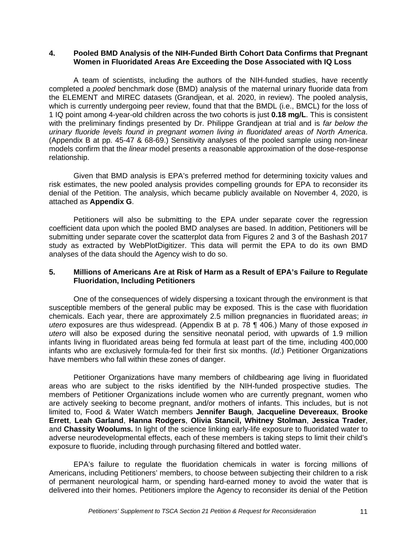#### **4. Pooled BMD Analysis of the NIH-Funded Birth Cohort Data Confirms that Pregnant Women in Fluoridated Areas Are Exceeding the Dose Associated with IQ Loss**

A team of scientists, including the authors of the NIH-funded studies, have recently completed a *pooled* benchmark dose (BMD) analysis of the maternal urinary fluoride data from the ELEMENT and MIREC datasets (Grandjean, et al. 2020, in review). The pooled analysis, which is currently undergoing peer review, found that that the BMDL (i.e., BMCL) for the loss of 1 IQ point among 4-year-old children across the two cohorts is just **0.18 mg/L**. This is consistent with the preliminary findings presented by Dr. Philippe Grandjean at trial and is *far below the urinary fluoride levels found in pregnant women living in fluoridated areas of North America*. (Appendix B at pp. 45-47 & 68-69.) Sensitivity analyses of the pooled sample using non-linear models confirm that the *linear* model presents a reasonable approximation of the dose-response relationship.

Given that BMD analysis is EPA's preferred method for determining toxicity values and risk estimates, the new pooled analysis provides compelling grounds for EPA to reconsider its denial of the Petition. The analysis, which became publicly available on November 4, 2020, is attached as **Appendix G**.

Petitioners will also be submitting to the EPA under separate cover the regression coefficient data upon which the pooled BMD analyses are based. In addition, Petitioners will be submitting under separate cover the scatterplot data from Figures 2 and 3 of the Bashash 2017 study as extracted by WebPlotDigitizer. This data will permit the EPA to do its own BMD analyses of the data should the Agency wish to do so.

### **5. Millions of Americans Are at Risk of Harm as a Result of EPA's Failure to Regulate Fluoridation, Including Petitioners**

One of the consequences of widely dispersing a toxicant through the environment is that susceptible members of the general public may be exposed. This is the case with fluoridation chemicals. Each year, there are approximately 2.5 million pregnancies in fluoridated areas; *in utero* exposures are thus widespread. (Appendix B at p. 78 ¶ 406.) Many of those exposed *in utero* will also be exposed during the sensitive neonatal period, with upwards of 1.9 million infants living in fluoridated areas being fed formula at least part of the time, including 400,000 infants who are exclusively formula-fed for their first six months. (*Id*.) Petitioner Organizations have members who fall within these zones of danger.

Petitioner Organizations have many members of childbearing age living in fluoridated areas who are subject to the risks identified by the NIH-funded prospective studies. The members of Petitioner Organizations include women who are currently pregnant, women who are actively seeking to become pregnant, and/or mothers of infants. This includes, but is not limited to, Food & Water Watch members **Jennifer Baugh**, **Jacqueline Devereaux**, **Brooke Errett**, **Leah Garland**, **Hanna Rodgers**, **Olivia Stancil, Whitney Stolman**, **Jessica Trader**, and **Chassity Woolums.** In light of the science linking early-life exposure to fluoridated water to adverse neurodevelopmental effects, each of these members is taking steps to limit their child's exposure to fluoride, including through purchasing filtered and bottled water.

EPA's failure to regulate the fluoridation chemicals in water is forcing millions of Americans, including Petitioners' members, to choose between subjecting their children to a risk of permanent neurological harm, or spending hard-earned money to avoid the water that is delivered into their homes. Petitioners implore the Agency to reconsider its denial of the Petition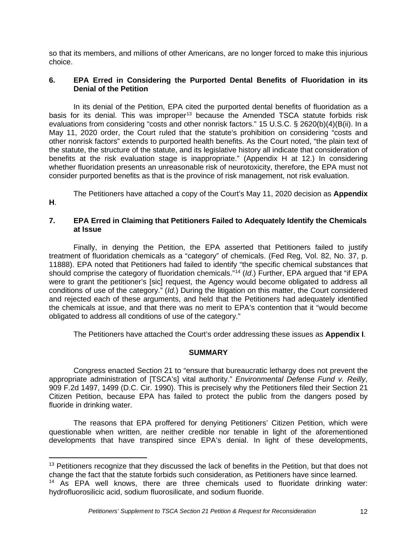so that its members, and millions of other Americans, are no longer forced to make this injurious choice.

# **6. EPA Erred in Considering the Purported Dental Benefits of Fluoridation in its Denial of the Petition**

In its denial of the Petition, EPA cited the purported dental benefits of fluoridation as a basis for its denial. This was improper<sup>[13](#page-11-0)</sup> because the Amended TSCA statute forbids risk evaluations from considering "costs and other nonrisk factors." 15 U.S.C. § 2620(b)(4)(B(ii). In a May 11, 2020 order, the Court ruled that the statute's prohibition on considering "costs and other nonrisk factors" extends to purported health benefits. As the Court noted, "the plain text of the statute, the structure of the statute, and its legislative history all indicate that consideration of benefits at the risk evaluation stage is inappropriate." (Appendix H at 12.) In considering whether fluoridation presents an unreasonable risk of neurotoxicity, therefore, the EPA must not consider purported benefits as that is the province of risk management, not risk evaluation.

The Petitioners have attached a copy of the Court's May 11, 2020 decision as **Appendix** 

# **H**.

# **7. EPA Erred in Claiming that Petitioners Failed to Adequately Identify the Chemicals at Issue**

Finally, in denying the Petition, the EPA asserted that Petitioners failed to justify treatment of fluoridation chemicals as a "category" of chemicals. (Fed Reg, Vol. 82, No. 37, p. 11888). EPA noted that Petitioners had failed to identify "the specific chemical substances that should comprise the category of fluoridation chemicals."[14](#page-11-1) (*Id*.) Further, EPA argued that "if EPA were to grant the petitioner's [sic] request, the Agency would become obligated to address all conditions of use of the category." (*Id*.) During the litigation on this matter, the Court considered and rejected each of these arguments, and held that the Petitioners had adequately identified the chemicals at issue, and that there was no merit to EPA's contention that it "would become obligated to address all conditions of use of the category."

The Petitioners have attached the Court's order addressing these issues as **Appendix I**.

# **SUMMARY**

Congress enacted Section 21 to "ensure that bureaucratic lethargy does not prevent the appropriate administration of [TSCA's] vital authority." *Environmental Defense Fund v. Reilly*, 909 F.2d 1497, 1499 (D.C. Cir. 1990). This is precisely why the Petitioners filed their Section 21 Citizen Petition, because EPA has failed to protect the public from the dangers posed by fluoride in drinking water.

The reasons that EPA proffered for denying Petitioners' Citizen Petition, which were questionable when written, are neither credible nor tenable in light of the aforementioned developments that have transpired since EPA's denial. In light of these developments,

<span id="page-11-0"></span><sup>&</sup>lt;sup>13</sup> Petitioners recognize that they discussed the lack of benefits in the Petition, but that does not change the fact that the statute forbids such consideration, as Petitioners have since learned.

<span id="page-11-1"></span><sup>&</sup>lt;sup>14</sup> As EPA well knows, there are three chemicals used to fluoridate drinking water: hydrofluorosilicic acid, sodium fluorosilicate, and sodium fluoride.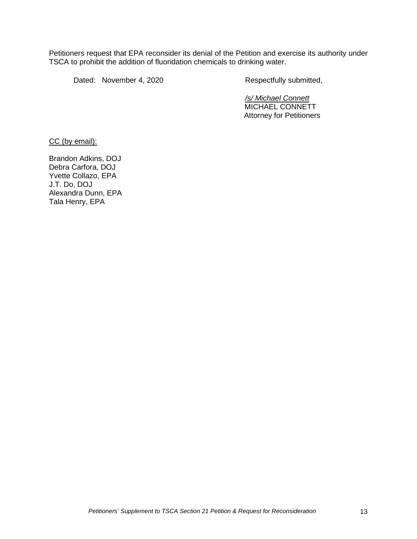Petitioners request that EPA reconsider its denial of the Petition and exercise its authority under TSCA to prohibit the addition of fluoridation chemicals to drinking water.

Dated: November 4, 2020 Respectfully submitted,

*/s/ Michael Connett* MICHAEL CONNETT Attorney for Petitioners

CC (by email):

Brandon Adkins, DOJ Debra Carfora, DOJ Yvette Collazo, EPA J.T. Do, DOJ Alexandra Dunn, EPA Tala Henry, EPA